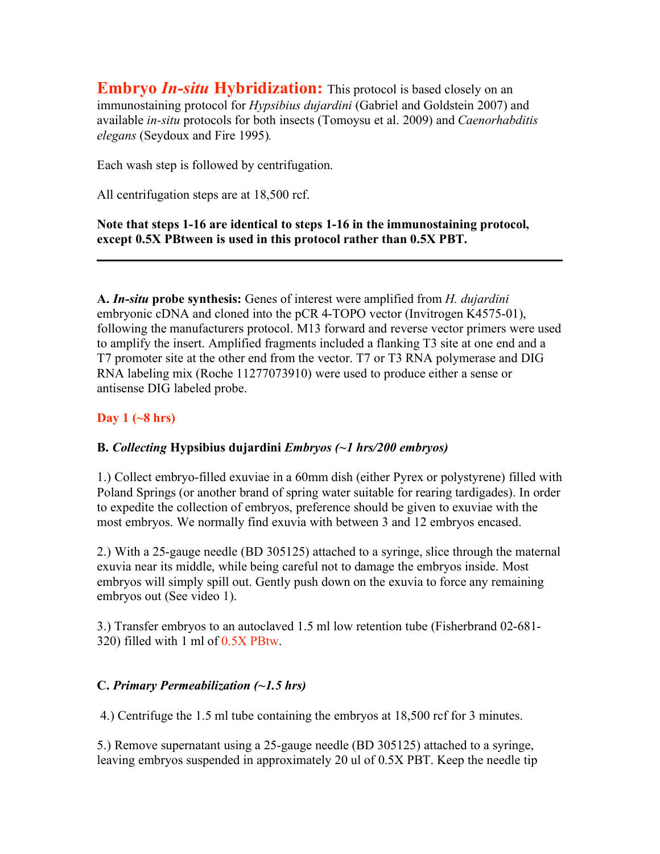**Embryo In-situ Hybridization:** This protocol is based closely on an immunostaining protocol for *Hypsibius dujardini* (Gabriel and Goldstein 2007) and available *in-situ* protocols for both insects (Tomoysu et al. 2009) and *Caenorhabditis elegans* (Seydoux and Fire 1995)*.*

Each wash step is followed by centrifugation.

All centrifugation steps are at 18,500 rcf.

**Note that steps 1-16 are identical to steps 1-16 in the immunostaining protocol, except 0.5X PBtween is used in this protocol rather than 0.5X PBT.**

**A.** *In-situ* **probe synthesis:** Genes of interest were amplified from *H. dujardini*  embryonic cDNA and cloned into the pCR 4-TOPO vector (Invitrogen K4575-01), following the manufacturers protocol. M13 forward and reverse vector primers were used to amplify the insert. Amplified fragments included a flanking T3 site at one end and a T7 promoter site at the other end from the vector. T7 or T3 RNA polymerase and DIG RNA labeling mix (Roche 11277073910) were used to produce either a sense or antisense DIG labeled probe.

#### **Day 1 (~8 hrs)**

#### **B.** *Collecting* **Hypsibius dujardini** *Embryos (~1 hrs/200 embryos)*

1.) Collect embryo-filled exuviae in a 60mm dish (either Pyrex or polystyrene) filled with Poland Springs (or another brand of spring water suitable for rearing tardigades). In order to expedite the collection of embryos, preference should be given to exuviae with the most embryos. We normally find exuvia with between 3 and 12 embryos encased.

2.) With a 25-gauge needle (BD 305125) attached to a syringe, slice through the maternal exuvia near its middle, while being careful not to damage the embryos inside. Most embryos will simply spill out. Gently push down on the exuvia to force any remaining embryos out (See video 1).

3.) Transfer embryos to an autoclaved 1.5 ml low retention tube (Fisherbrand 02-681- 320) filled with 1 ml of 0.5X PBtw.

#### **C.** *Primary Permeabilization (~1.5 hrs)*

4.) Centrifuge the 1.5 ml tube containing the embryos at 18,500 rcf for 3 minutes.

5.) Remove supernatant using a 25-gauge needle (BD 305125) attached to a syringe, leaving embryos suspended in approximately 20 ul of 0.5X PBT. Keep the needle tip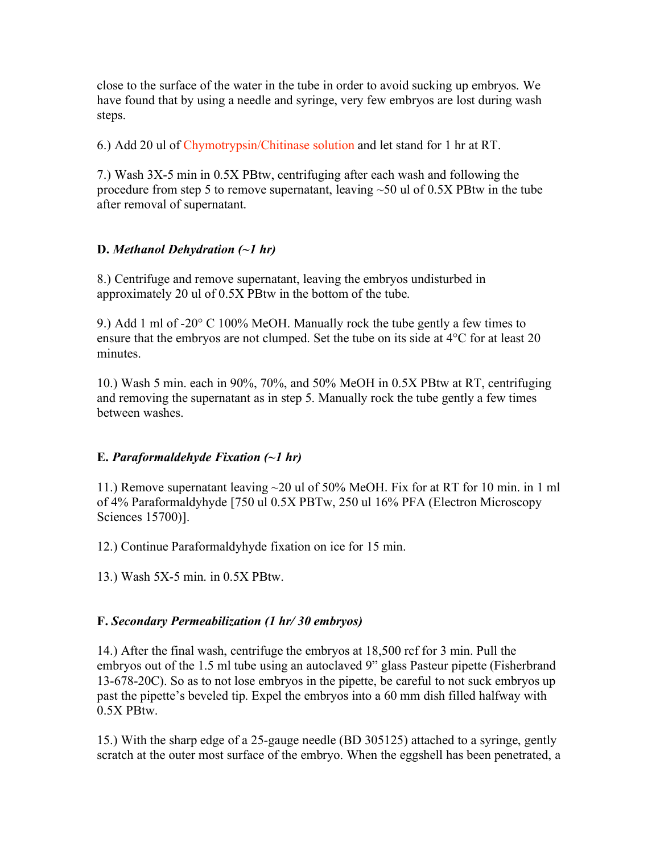close to the surface of the water in the tube in order to avoid sucking up embryos. We have found that by using a needle and syringe, very few embryos are lost during wash steps.

6.) Add 20 ul of Chymotrypsin/Chitinase solution and let stand for 1 hr at RT.

7.) Wash 3X-5 min in 0.5X PBtw, centrifuging after each wash and following the procedure from step 5 to remove supernatant, leaving ~50 ul of 0.5X PBtw in the tube after removal of supernatant.

#### **D.** *Methanol Dehydration (~1 hr)*

8.) Centrifuge and remove supernatant, leaving the embryos undisturbed in approximately 20 ul of 0.5X PBtw in the bottom of the tube.

9.) Add 1 ml of -20° C 100% MeOH. Manually rock the tube gently a few times to ensure that the embryos are not clumped. Set the tube on its side at 4°C for at least 20 minutes.

10.) Wash 5 min. each in 90%, 70%, and 50% MeOH in 0.5X PBtw at RT, centrifuging and removing the supernatant as in step 5. Manually rock the tube gently a few times between washes.

#### **E.** *Paraformaldehyde Fixation (~1 hr)*

11.) Remove supernatant leaving ~20 ul of 50% MeOH. Fix for at RT for 10 min. in 1 ml of 4% Paraformaldyhyde [750 ul 0.5X PBTw, 250 ul 16% PFA (Electron Microscopy Sciences 15700)].

12.) Continue Paraformaldyhyde fixation on ice for 15 min.

13.) Wash 5X-5 min. in 0.5X PBtw.

#### **F.** *Secondary Permeabilization (1 hr/ 30 embryos)*

14.) After the final wash, centrifuge the embryos at 18,500 rcf for 3 min. Pull the embryos out of the 1.5 ml tube using an autoclaved 9" glass Pasteur pipette (Fisherbrand 13-678-20C). So as to not lose embryos in the pipette, be careful to not suck embryos up past the pipette's beveled tip. Expel the embryos into a 60 mm dish filled halfway with 0.5X PBtw.

15.) With the sharp edge of a 25-gauge needle (BD 305125) attached to a syringe, gently scratch at the outer most surface of the embryo. When the eggshell has been penetrated, a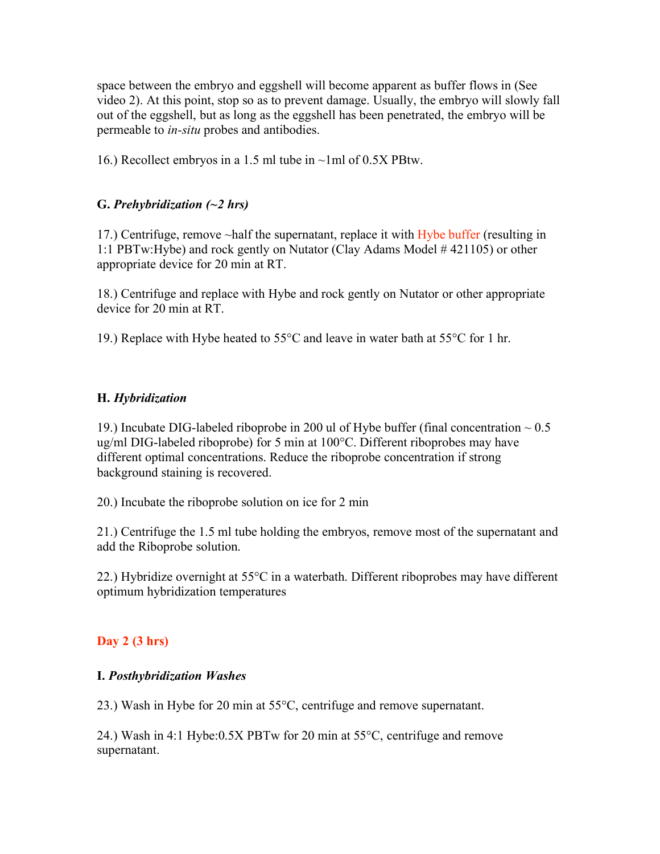space between the embryo and eggshell will become apparent as buffer flows in (See video 2). At this point, stop so as to prevent damage. Usually, the embryo will slowly fall out of the eggshell, but as long as the eggshell has been penetrated, the embryo will be permeable to *in-situ* probes and antibodies.

16.) Recollect embryos in a 1.5 ml tube in ~1ml of 0.5X PBtw.

#### **G.** *Prehybridization (~2 hrs)*

17.) Centrifuge, remove ~half the supernatant, replace it with Hybe buffer (resulting in 1:1 PBTw:Hybe) and rock gently on Nutator (Clay Adams Model # 421105) or other appropriate device for 20 min at RT.

18.) Centrifuge and replace with Hybe and rock gently on Nutator or other appropriate device for 20 min at RT.

19.) Replace with Hybe heated to 55°C and leave in water bath at 55°C for 1 hr.

#### **H.** *Hybridization*

19.) Incubate DIG-labeled riboprobe in 200 ul of Hybe buffer (final concentration  $\sim 0.5$ ) ug/ml DIG-labeled riboprobe) for 5 min at 100°C. Different riboprobes may have different optimal concentrations. Reduce the riboprobe concentration if strong background staining is recovered.

20.) Incubate the riboprobe solution on ice for 2 min

21.) Centrifuge the 1.5 ml tube holding the embryos, remove most of the supernatant and add the Riboprobe solution.

22.) Hybridize overnight at  $55^{\circ}$ C in a waterbath. Different riboprobes may have different optimum hybridization temperatures

### **Day 2 (3 hrs)**

#### **I.** *Posthybridization Washes*

23.) Wash in Hybe for 20 min at 55°C, centrifuge and remove supernatant.

24.) Wash in 4:1 Hybe:0.5X PBTw for 20 min at 55°C, centrifuge and remove supernatant.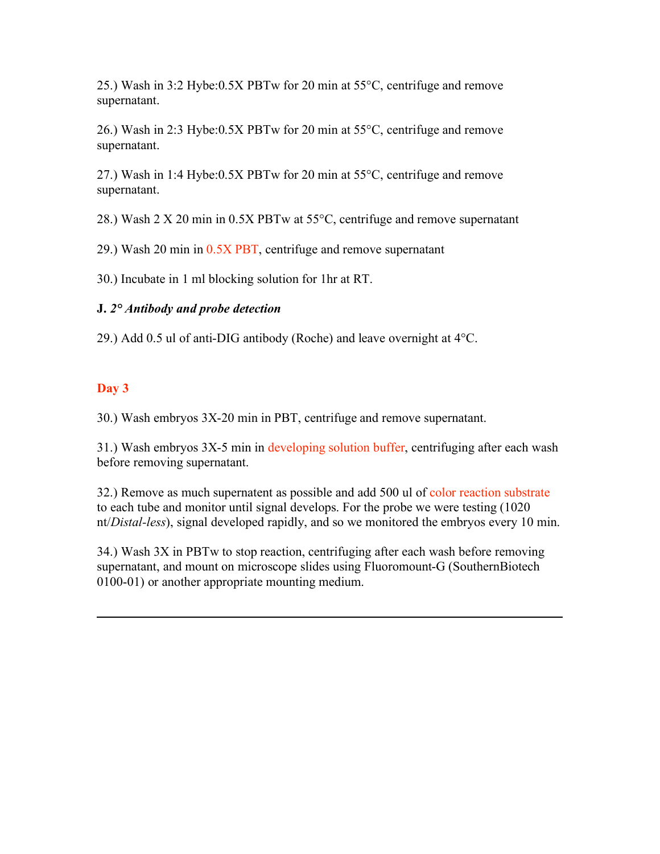25.) Wash in 3:2 Hybe:0.5X PBTw for 20 min at 55°C, centrifuge and remove supernatant.

26.) Wash in 2:3 Hybe:0.5X PBTw for 20 min at 55°C, centrifuge and remove supernatant.

27.) Wash in 1:4 Hybe:0.5X PBTw for 20 min at 55°C, centrifuge and remove supernatant.

28.) Wash 2 X 20 min in 0.5X PBTw at 55°C, centrifuge and remove supernatant

29.) Wash 20 min in 0.5X PBT, centrifuge and remove supernatant

30.) Incubate in 1 ml blocking solution for 1hr at RT.

#### **J.** *2° Antibody and probe detection*

29.) Add 0.5 ul of anti-DIG antibody (Roche) and leave overnight at 4°C.

#### **Day 3**

30.) Wash embryos 3X-20 min in PBT, centrifuge and remove supernatant.

31.) Wash embryos 3X-5 min in developing solution buffer, centrifuging after each wash before removing supernatant.

32.) Remove as much supernatent as possible and add 500 ul of color reaction substrate to each tube and monitor until signal develops. For the probe we were testing (1020 nt/*Distal-less*), signal developed rapidly, and so we monitored the embryos every 10 min.

34.) Wash 3X in PBTw to stop reaction, centrifuging after each wash before removing supernatant, and mount on microscope slides using Fluoromount-G (SouthernBiotech 0100-01) or another appropriate mounting medium.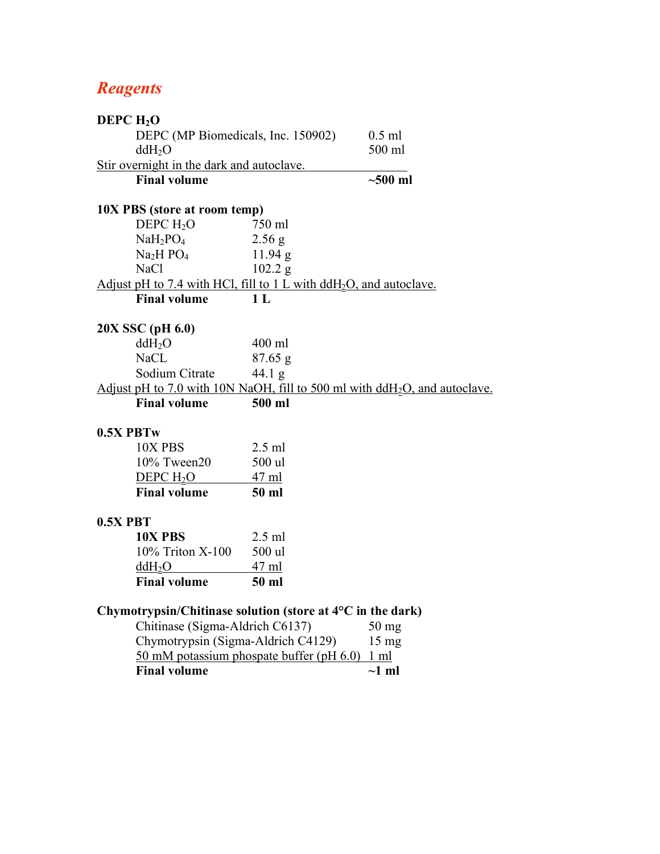# *Reagents*

| DEPC $H_2O$                               |                                                                      |                 |                                                                              |  |  |
|-------------------------------------------|----------------------------------------------------------------------|-----------------|------------------------------------------------------------------------------|--|--|
|                                           | DEPC (MP Biomedicals, Inc. 150902)                                   |                 | $0.5$ ml                                                                     |  |  |
|                                           | ddH <sub>2</sub> O                                                   |                 | 500 ml                                                                       |  |  |
| Stir overnight in the dark and autoclave. |                                                                      |                 |                                                                              |  |  |
|                                           | <b>Final volume</b>                                                  |                 | $\sim$ 500 ml                                                                |  |  |
|                                           | 10X PBS (store at room temp)                                         |                 |                                                                              |  |  |
|                                           | DEPC $H_2O$                                                          | 750 ml          |                                                                              |  |  |
|                                           | $NaH_2PO_4$                                                          | 2.56 g          |                                                                              |  |  |
|                                           | Na <sub>2</sub> H PO <sub>4</sub>                                    | 11.94 g         |                                                                              |  |  |
|                                           | <b>NaCl</b>                                                          | 102.2 g         |                                                                              |  |  |
|                                           | Adjust pH to 7.4 with HCl, fill to 1 L with $ddH2O$ , and autoclave. |                 |                                                                              |  |  |
|                                           | <b>Final volume</b>                                                  | 1 <sub>L</sub>  |                                                                              |  |  |
|                                           | 20X SSC (pH 6.0)                                                     |                 |                                                                              |  |  |
|                                           | ddH <sub>2</sub> O                                                   | 400 ml          |                                                                              |  |  |
|                                           | <b>NaCL</b>                                                          | $87.65$ g       |                                                                              |  |  |
|                                           | Sodium Citrate                                                       | $44.1\text{ g}$ |                                                                              |  |  |
|                                           |                                                                      |                 | Adjust pH to 7.0 with 10N NaOH, fill to 500 ml with $dH_2O$ , and autoclave. |  |  |
|                                           | <b>Final volume</b>                                                  | 500 ml          |                                                                              |  |  |
| 0.5X PBTw                                 |                                                                      |                 |                                                                              |  |  |
|                                           | 10X PBS                                                              | $2.5$ ml        |                                                                              |  |  |
|                                           | 10% Tween20                                                          | 500 ul          |                                                                              |  |  |
|                                           | DEPC H <sub>2</sub> O                                                | <u>47 ml</u>    |                                                                              |  |  |
|                                           | <b>Final volume</b>                                                  | 50 ml           |                                                                              |  |  |
| $0.5X$ PBT                                |                                                                      |                 |                                                                              |  |  |
|                                           | 10X PBS                                                              | $2.5$ ml        |                                                                              |  |  |
|                                           | 10% Triton X-100                                                     | 500 ul          |                                                                              |  |  |
|                                           | $ddH_2O$                                                             | <u>47 ml</u>    |                                                                              |  |  |
|                                           | <b>Final volume</b>                                                  | 50 ml           |                                                                              |  |  |
|                                           | Chymotrypsin/Chitinase solution (store at $4^{\circ}$ C in the dark) |                 |                                                                              |  |  |
|                                           | Chitinase (Sigma-Aldrich C6137)                                      |                 | $50$ mg                                                                      |  |  |
|                                           | Chymotrypsin (Sigma-Aldrich C4129)<br>$15 \text{ mg}$                |                 |                                                                              |  |  |
|                                           | 50 mM potassium phospate buffer (pH 6.0) 1 ml                        |                 |                                                                              |  |  |
|                                           | <b>Final volume</b>                                                  |                 | $\sim$ 1 ml                                                                  |  |  |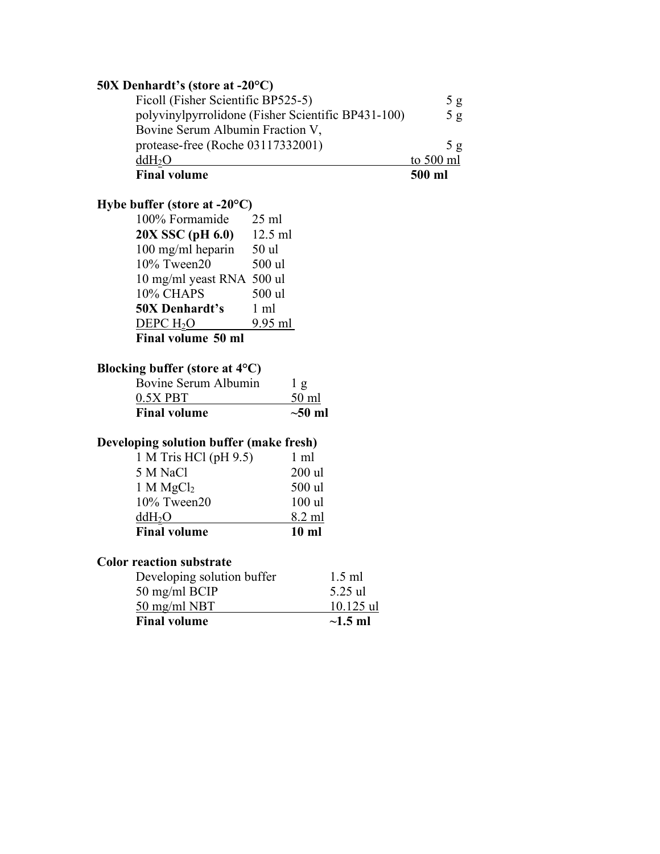| 50X Denhardt's (store at -20°C)                    |           |
|----------------------------------------------------|-----------|
| Ficoll (Fisher Scientific BP525-5)                 | 5g        |
| polyvinylpyrrolidone (Fisher Scientific BP431-100) | 5g        |
| Bovine Serum Albumin Fraction V,                   |           |
| protease-free (Roche 03117332001)                  | 5g        |
| ddH <sub>2</sub> O                                 | to 500 ml |
| <b>Final volume</b>                                | 500 ml    |

## **Hybe buffer (store at -20°C)**

| 100% Formamide            | $25 \text{ ml}$ |  |  |  |
|---------------------------|-----------------|--|--|--|
| 20X SSC (pH 6.0)          | 12.5 ml         |  |  |  |
| 100 mg/ml heparin         | 50 ul           |  |  |  |
| 10% Tween20               | 500 ul          |  |  |  |
| 10 mg/ml yeast RNA 500 ul |                 |  |  |  |
| 10% CHAPS                 | 500 ul          |  |  |  |
| <b>50X Denhardt's</b>     | $1 \text{ ml}$  |  |  |  |
| DEPC H <sub>2</sub> O     | 9.95 ml         |  |  |  |
| Final volume 50 ml        |                 |  |  |  |

## **Blocking buffer (store at 4°C)**

| <b>Final volume</b>  | $\sim 50$ ml   |
|----------------------|----------------|
| $0.5X$ PBT           | 50 ml          |
| Bovine Serum Albumin | 1 <sub>g</sub> |

## **Developing solution buffer (make fresh)**

| <b>Final volume</b>   | $10 \text{ ml}$ |
|-----------------------|-----------------|
| ddH <sub>2</sub> O    | 8.2 ml          |
| 10% Tween20           | $100$ ul        |
| 1 M MgCl <sub>2</sub> | 500 ul          |
| 5 M NaCl              | $200$ ul        |
| 1 M Tris HCl (pH 9.5) | $1 \text{ ml}$  |

### **Color reaction substrate**

| <b>Final volume</b>        | $\sim$ 1.5 ml |
|----------------------------|---------------|
| $50 \text{ mg/ml}$ NBT     | $10.125$ ul   |
| 50 mg/ml BCIP              | 5.25 ul       |
| Developing solution buffer | $1.5$ ml      |